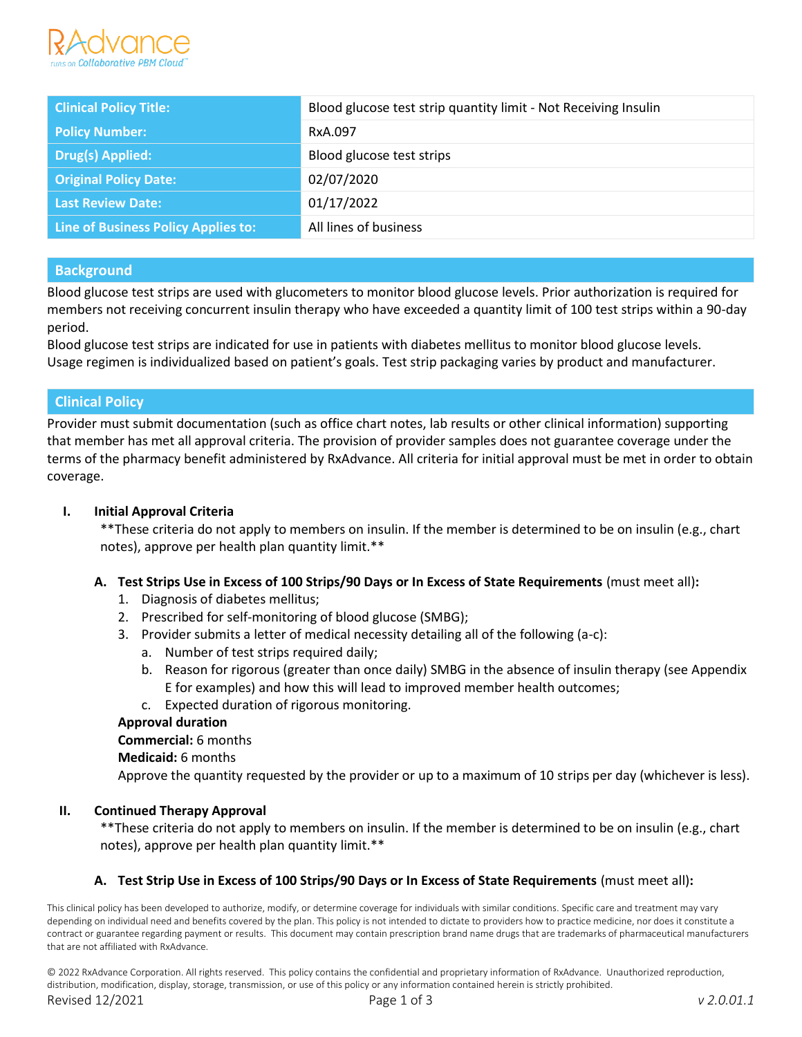

| <b>Clinical Policy Title:</b>       | Blood glucose test strip quantity limit - Not Receiving Insulin |  |
|-------------------------------------|-----------------------------------------------------------------|--|
| <b>Policy Number:</b>               | RxA.097                                                         |  |
| <b>Drug(s) Applied:</b>             | Blood glucose test strips                                       |  |
| <b>Original Policy Date:</b>        | 02/07/2020                                                      |  |
| Last Review Date:                   | 01/17/2022                                                      |  |
| Line of Business Policy Applies to: | All lines of business                                           |  |

# **Background**

Blood glucose test strips are used with glucometers to monitor blood glucose levels. Prior authorization is required for members not receiving concurrent insulin therapy who have exceeded a quantity limit of 100 test strips within a 90-day period.

Blood glucose test strips are indicated for use in patients with diabetes mellitus to monitor blood glucose levels. Usage regimen is individualized based on patient's goals. Test strip packaging varies by product and manufacturer.

## **Clinical Policy**

Provider must submit documentation (such as office chart notes, lab results or other clinical information) supporting that member has met all approval criteria. The provision of provider samples does not guarantee coverage under the terms of the pharmacy benefit administered by RxAdvance. All criteria for initial approval must be met in order to obtain coverage.

#### **I. Initial Approval Criteria**

\*\*These criteria do not apply to members on insulin. If the member is determined to be on insulin (e.g., chart notes), approve per health plan quantity limit.\*\*

## **A. Test Strips Use in Excess of 100 Strips/90 Days or In Excess of State Requirements** (must meet all)**:**

- 1. Diagnosis of diabetes mellitus;
- 2. Prescribed for self-monitoring of blood glucose (SMBG);
- 3. Provider submits a letter of medical necessity detailing all of the following (a-c):
	- a. Number of test strips required daily;
	- b. Reason for rigorous (greater than once daily) SMBG in the absence of insulin therapy (see Appendix E for examples) and how this will lead to improved member health outcomes;
	- c. Expected duration of rigorous monitoring.

#### **Approval duration**

#### **Commercial:** 6 months

**Medicaid:** 6 months

Approve the quantity requested by the provider or up to a maximum of 10 strips per day (whichever is less).

#### **II. Continued Therapy Approval**

\*\*These criteria do not apply to members on insulin. If the member is determined to be on insulin (e.g., chart notes), approve per health plan quantity limit.\*\*

## **A. Test Strip Use in Excess of 100 Strips/90 Days or In Excess of State Requirements** (must meet all)**:**

This clinical policy has been developed to authorize, modify, or determine coverage for individuals with similar conditions. Specific care and treatment may vary depending on individual need and benefits covered by the plan. This policy is not intended to dictate to providers how to practice medicine, nor does it constitute a contract or guarantee regarding payment or results. This document may contain prescription brand name drugs that are trademarks of pharmaceutical manufacturers that are not affiliated with RxAdvance.

© 2022 RxAdvance Corporation. All rights reserved. This policy contains the confidential and proprietary information of RxAdvance. Unauthorized reproduction, distribution, modification, display, storage, transmission, or use of this policy or any information contained herein is strictly prohibited. Revised 12/2021 Page 1 of 3 *v 2.0.01.1*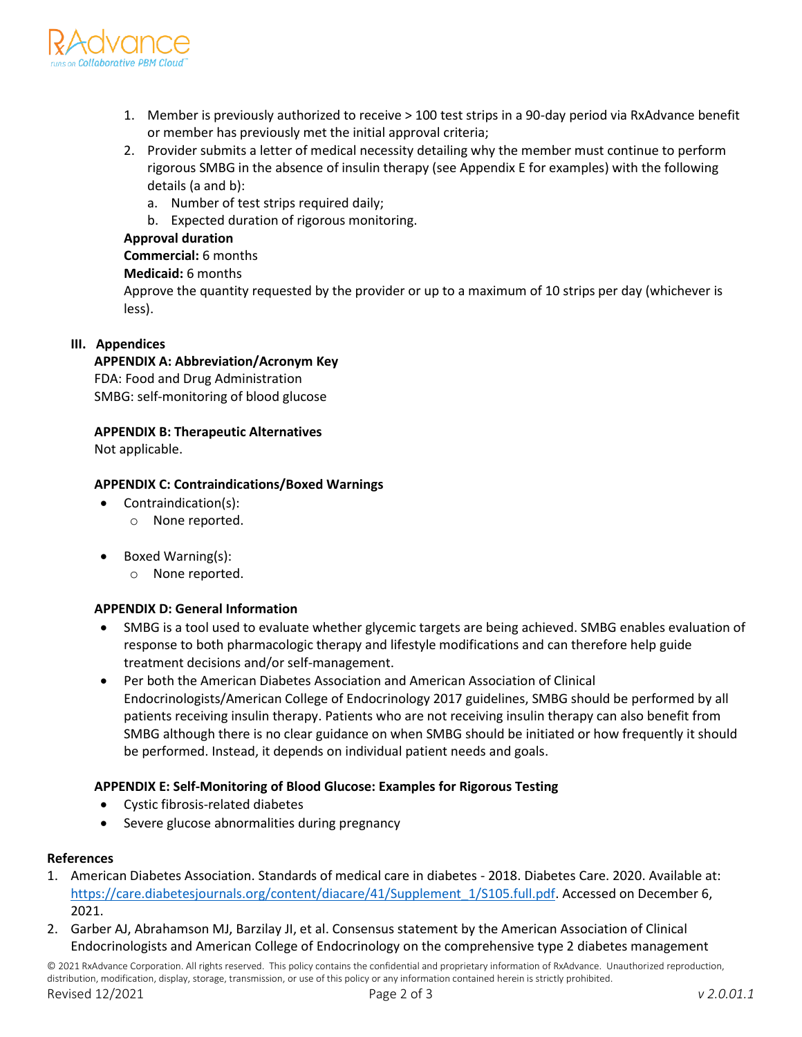

- 1. Member is previously authorized to receive > 100 test strips in a 90-day period via RxAdvance benefit or member has previously met the initial approval criteria;
- 2. Provider submits a letter of medical necessity detailing why the member must continue to perform rigorous SMBG in the absence of insulin therapy (see Appendix E for examples) with the following details (a and b):
	- a. Number of test strips required daily;
	- b. Expected duration of rigorous monitoring.

## **Approval duration**

**Commercial:** 6 months

# **Medicaid:** 6 months

Approve the quantity requested by the provider or up to a maximum of 10 strips per day (whichever is less).

# **III. Appendices**

# **APPENDIX A: Abbreviation/Acronym Key**

FDA: Food and Drug Administration SMBG: self-monitoring of blood glucose

**APPENDIX B: Therapeutic Alternatives**

Not applicable.

# **APPENDIX C: Contraindications/Boxed Warnings**

- Contraindication(s):
	- o None reported.
- Boxed Warning(s):
	- o None reported.

## **APPENDIX D: General Information**

- SMBG is a tool used to evaluate whether glycemic targets are being achieved. SMBG enables evaluation of response to both pharmacologic therapy and lifestyle modifications and can therefore help guide treatment decisions and/or self-management.
- Per both the American Diabetes Association and American Association of Clinical Endocrinologists/American College of Endocrinology 2017 guidelines, SMBG should be performed by all patients receiving insulin therapy. Patients who are not receiving insulin therapy can also benefit from SMBG although there is no clear guidance on when SMBG should be initiated or how frequently it should be performed. Instead, it depends on individual patient needs and goals.

## **APPENDIX E: Self-Monitoring of Blood Glucose: Examples for Rigorous Testing**

- Cystic fibrosis-related diabetes
- Severe glucose abnormalities during pregnancy

## **References**

- 1. American Diabetes Association. Standards of medical care in diabetes 2018. Diabetes Care. 2020. Available at: [https://care.diabetesjournals.org/content/diacare/41/Supplement\\_1/S105.full.pdf.](https://care.diabetesjournals.org/content/diacare/41/Supplement_1/S105.full.pdf) Accessed on December 6, 2021.
- 2. Garber AJ, Abrahamson MJ, Barzilay JI, et al. Consensus statement by the American Association of Clinical Endocrinologists and American College of Endocrinology on the comprehensive type 2 diabetes management